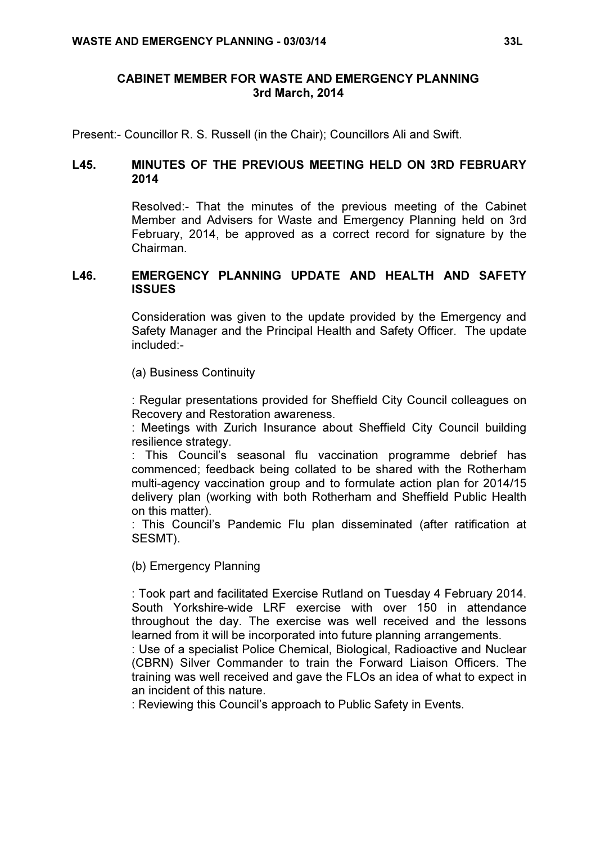### CABINET MEMBER FOR WASTE AND EMERGENCY PLANNING 3rd March, 2014

Present:- Councillor R. S. Russell (in the Chair); Councillors Ali and Swift.

#### L45. MINUTES OF THE PREVIOUS MEETING HELD ON 3RD FEBRUARY 2014

 Resolved:- That the minutes of the previous meeting of the Cabinet Member and Advisers for Waste and Emergency Planning held on 3rd February, 2014, be approved as a correct record for signature by the Chairman.

# L46. EMERGENCY PLANNING UPDATE AND HEALTH AND SAFETY **ISSUES**

 Consideration was given to the update provided by the Emergency and Safety Manager and the Principal Health and Safety Officer. The update included:-

(a) Business Continuity

: Regular presentations provided for Sheffield City Council colleagues on Recovery and Restoration awareness.

: Meetings with Zurich Insurance about Sheffield City Council building resilience strategy.

: This Council's seasonal flu vaccination programme debrief has commenced; feedback being collated to be shared with the Rotherham multi-agency vaccination group and to formulate action plan for 2014/15 delivery plan (working with both Rotherham and Sheffield Public Health on this matter).

: This Council's Pandemic Flu plan disseminated (after ratification at SESMT).

(b) Emergency Planning

: Took part and facilitated Exercise Rutland on Tuesday 4 February 2014. South Yorkshire-wide LRF exercise with over 150 in attendance throughout the day. The exercise was well received and the lessons learned from it will be incorporated into future planning arrangements.

: Use of a specialist Police Chemical, Biological, Radioactive and Nuclear (CBRN) Silver Commander to train the Forward Liaison Officers. The training was well received and gave the FLOs an idea of what to expect in an incident of this nature.

: Reviewing this Council's approach to Public Safety in Events.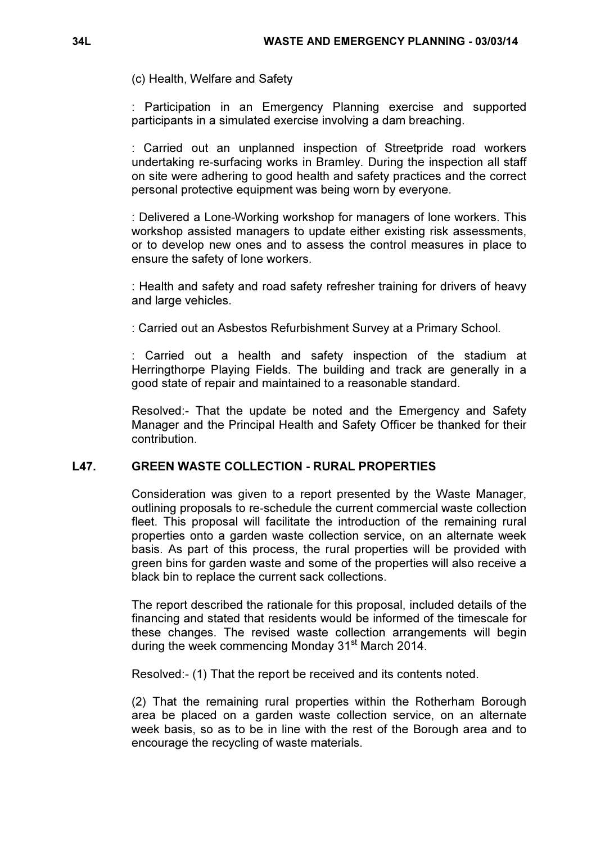(c) Health, Welfare and Safety

: Participation in an Emergency Planning exercise and supported participants in a simulated exercise involving a dam breaching.

: Carried out an unplanned inspection of Streetpride road workers undertaking re-surfacing works in Bramley. During the inspection all staff on site were adhering to good health and safety practices and the correct personal protective equipment was being worn by everyone.

: Delivered a Lone-Working workshop for managers of lone workers. This workshop assisted managers to update either existing risk assessments, or to develop new ones and to assess the control measures in place to ensure the safety of lone workers.

: Health and safety and road safety refresher training for drivers of heavy and large vehicles.

: Carried out an Asbestos Refurbishment Survey at a Primary School.

: Carried out a health and safety inspection of the stadium at Herringthorpe Playing Fields. The building and track are generally in a good state of repair and maintained to a reasonable standard.

Resolved:- That the update be noted and the Emergency and Safety Manager and the Principal Health and Safety Officer be thanked for their contribution.

# L47. GREEN WASTE COLLECTION - RURAL PROPERTIES

 Consideration was given to a report presented by the Waste Manager, outlining proposals to re-schedule the current commercial waste collection fleet. This proposal will facilitate the introduction of the remaining rural properties onto a garden waste collection service, on an alternate week basis. As part of this process, the rural properties will be provided with green bins for garden waste and some of the properties will also receive a black bin to replace the current sack collections.

The report described the rationale for this proposal, included details of the financing and stated that residents would be informed of the timescale for these changes. The revised waste collection arrangements will begin during the week commencing Monday 31<sup>st</sup> March 2014.

Resolved:- (1) That the report be received and its contents noted.

(2) That the remaining rural properties within the Rotherham Borough area be placed on a garden waste collection service, on an alternate week basis, so as to be in line with the rest of the Borough area and to encourage the recycling of waste materials.